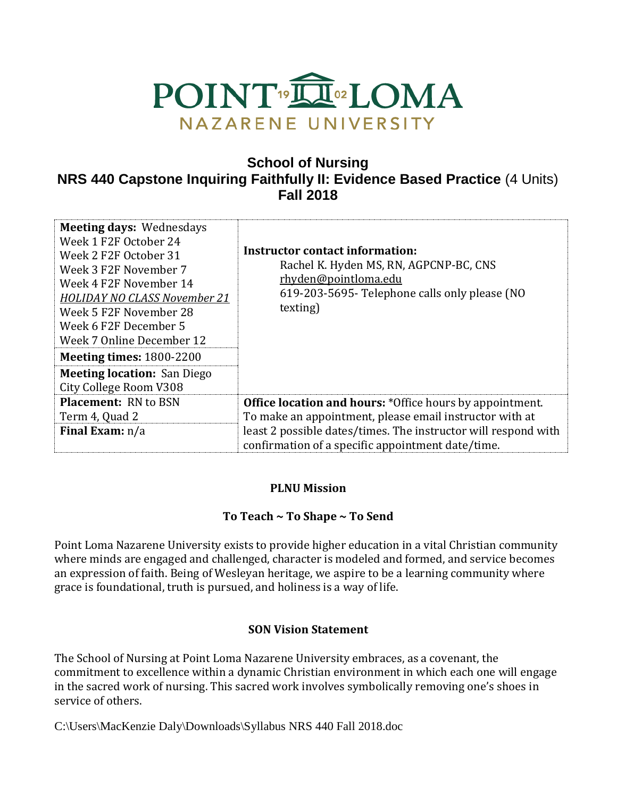

# **School of Nursing NRS 440 Capstone Inquiring Faithfully II: Evidence Based Practice** (4 Units) **Fall 2018**

| <b>Meeting days: Wednesdays</b><br>Week 1 F2F October 24<br>Week 2 F2F October 31<br>Week 3 F2F November 7<br>Week 4 F2F November 14<br><b>HOLIDAY NO CLASS November 21</b><br>Week 5 F2F November 28<br>Week 6 F2F December 5<br>Week 7 Online December 12<br><b>Meeting times: 1800-2200</b><br><b>Meeting location: San Diego</b><br>City College Room V308 | <b>Instructor contact information:</b><br>Rachel K. Hyden MS, RN, AGPCNP-BC, CNS<br>rhyden@pointloma.edu<br>619-203-5695- Telephone calls only please (NO<br>texting) |
|----------------------------------------------------------------------------------------------------------------------------------------------------------------------------------------------------------------------------------------------------------------------------------------------------------------------------------------------------------------|-----------------------------------------------------------------------------------------------------------------------------------------------------------------------|
| <b>Placement: RN to BSN</b>                                                                                                                                                                                                                                                                                                                                    | <b>Office location and hours:</b> *Office hours by appointment.                                                                                                       |
| Term 4, Quad 2                                                                                                                                                                                                                                                                                                                                                 | To make an appointment, please email instructor with at                                                                                                               |
| <b>Final Exam:</b> n/a                                                                                                                                                                                                                                                                                                                                         | least 2 possible dates/times. The instructor will respond with<br>confirmation of a specific appointment date/time.                                                   |

### **PLNU Mission**

### **To Teach ~ To Shape ~ To Send**

Point Loma Nazarene University exists to provide higher education in a vital Christian community where minds are engaged and challenged, character is modeled and formed, and service becomes an expression of faith. Being of Wesleyan heritage, we aspire to be a learning community where grace is foundational, truth is pursued, and holiness is a way of life.

### **SON Vision Statement**

The School of Nursing at Point Loma Nazarene University embraces, as a covenant, the commitment to excellence within a dynamic Christian environment in which each one will engage in the sacred work of nursing. This sacred work involves symbolically removing one's shoes in service of others.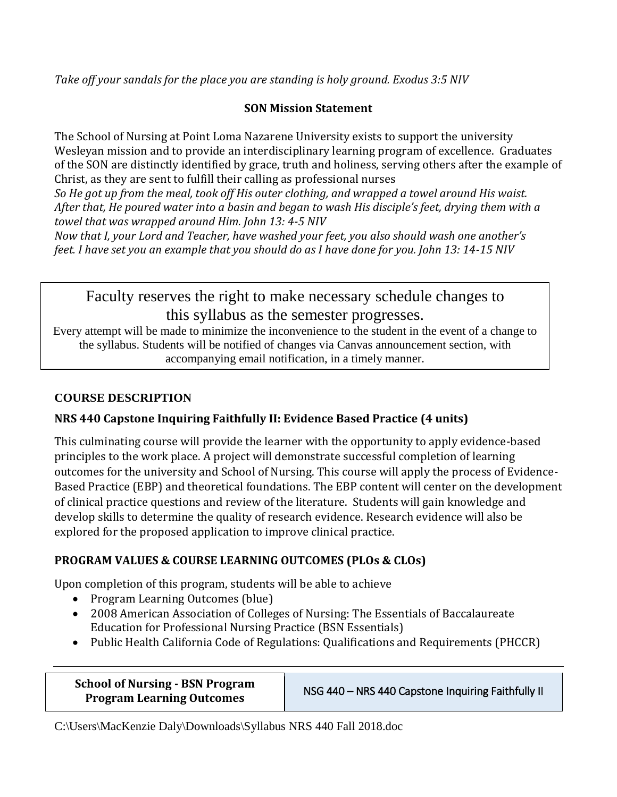*Take off your sandals for the place you are standing is holy ground. Exodus 3:5 NIV* 

## **SON Mission Statement**

The School of Nursing at Point Loma Nazarene University exists to support the university Wesleyan mission and to provide an interdisciplinary learning program of excellence. Graduates of the SON are distinctly identified by grace, truth and holiness, serving others after the example of Christ, as they are sent to fulfill their calling as professional nurses

*So He got up from the meal, took off His outer clothing, and wrapped a towel around His waist. After that, He poured water into a basin and began to wash His disciple's feet, drying them with a towel that was wrapped around Him. John 13: 4-5 NIV* 

*Now that I, your Lord and Teacher, have washed your feet, you also should wash one another's feet. I have set you an example that you should do as I have done for you. John 13: 14-15 NIV* 

Faculty reserves the right to make necessary schedule changes to this syllabus as the semester progresses.

Every attempt will be made to minimize the inconvenience to the student in the event of a change to the syllabus. Students will be notified of changes via Canvas announcement section, with accompanying email notification, in a timely manner.

## **COURSE DESCRIPTION**

## **NRS 440 Capstone Inquiring Faithfully II: Evidence Based Practice (4 units)**

This culminating course will provide the learner with the opportunity to apply evidence-based principles to the work place. A project will demonstrate successful completion of learning outcomes for the university and School of Nursing. This course will apply the process of Evidence-Based Practice (EBP) and theoretical foundations. The EBP content will center on the development of clinical practice questions and review of the literature. Students will gain knowledge and develop skills to determine the quality of research evidence. Research evidence will also be explored for the proposed application to improve clinical practice.

## **PROGRAM VALUES & COURSE LEARNING OUTCOMES (PLOs & CLOs)**

Upon completion of this program, students will be able to achieve

- Program Learning Outcomes (blue)
- 2008 American Association of Colleges of Nursing: The Essentials of Baccalaureate Education for Professional Nursing Practice (BSN Essentials)
- Public Health California Code of Regulations: Qualifications and Requirements (PHCCR)

| <b>School of Nursing - BSN Program</b> |  |
|----------------------------------------|--|
| <b>Program Learning Outcomes</b>       |  |

**NSG 440 – NRS 440 Capstone Inquiring Faithfully II**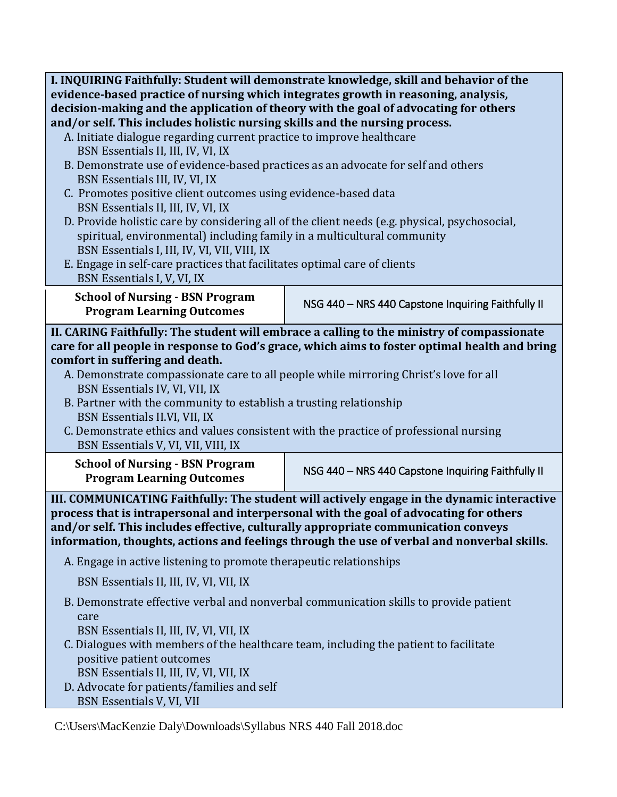**I. INQUIRING Faithfully: Student will demonstrate knowledge, skill and behavior of the evidence-based practice of nursing which integrates growth in reasoning, analysis, decision-making and the application of theory with the goal of advocating for others and/or self. This includes holistic nursing skills and the nursing process.**

- A. Initiate dialogue regarding current practice to improve healthcare BSN Essentials II, III, IV, VI, IX
- B. Demonstrate use of evidence-based practices as an advocate for self and others BSN Essentials III, IV, VI, IX
- C. Promotes positive client outcomes using evidence-based data BSN Essentials II, III, IV, VI, IX
- D. Provide holistic care by considering all of the client needs (e.g. physical, psychosocial, spiritual, environmental) including family in a multicultural community BSN Essentials I, III, IV, VI, VII, VIII, IX
- E. Engage in self-care practices that facilitates optimal care of clients BSN Essentials I, V, VI, IX

**School of Nursing - BSN Program**

**Program Learning Outcomes** NSG 440 – NRS 440 Capstone Inquiring Faithfully II

**II. CARING Faithfully: The student will embrace a calling to the ministry of compassionate care for all people in response to God's grace, which aims to foster optimal health and bring comfort in suffering and death.**

- A. Demonstrate compassionate care to all people while mirroring Christ's love for all BSN Essentials IV, VI, VII, IX
- B. Partner with the community to establish a trusting relationship BSN Essentials II.VI, VII, IX
- C. Demonstrate ethics and values consistent with the practice of professional nursing BSN Essentials V, VI, VII, VIII, IX

**School of Nursing - BSN Program**

**Program Learning Outcomes** NSG 440 – NRS 440 Capstone Inquiring Faithfully II

**III. COMMUNICATING Faithfully: The student will actively engage in the dynamic interactive process that is intrapersonal and interpersonal with the goal of advocating for others and/or self. This includes effective, culturally appropriate communication conveys information, thoughts, actions and feelings through the use of verbal and nonverbal skills.**

A. Engage in active listening to promote therapeutic relationships

BSN Essentials II, III, IV, VI, VII, IX

 B. Demonstrate effective verbal and nonverbal communication skills to provide patient care

BSN Essentials II, III, IV, VI, VII, IX

- C. Dialogues with members of the healthcare team, including the patient to facilitate positive patient outcomes BSN Essentials II, III, IV, VI, VII, IX
- D. Advocate for patients/families and self BSN Essentials V, VI, VII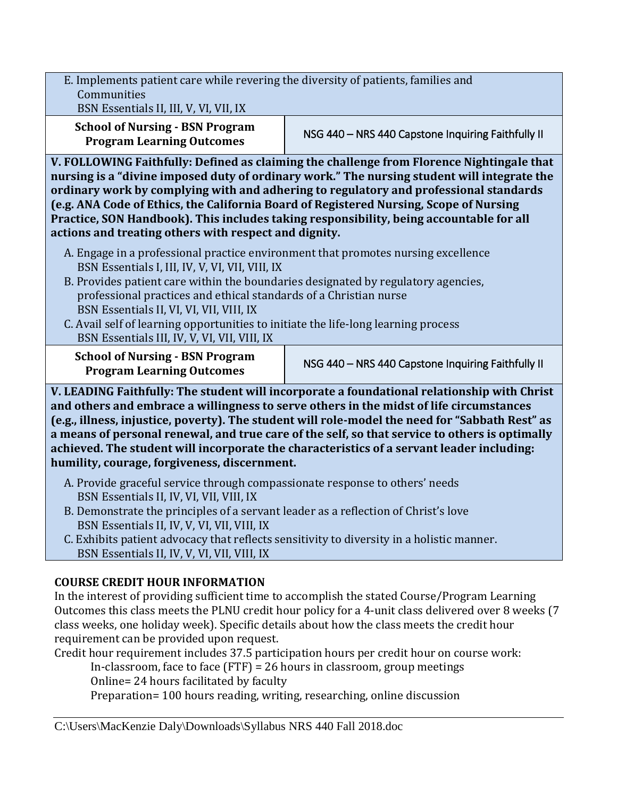E. Implements patient care while revering the diversity of patients, families and **Communities** 

BSN Essentials II, III, V, VI, VII, IX

**School of Nursing - BSN Program**

**Program Learning Outcomes** NSG 440 – NRS 440 Capstone Inquiring Faithfully II

**V. FOLLOWING Faithfully: Defined as claiming the challenge from Florence Nightingale that nursing is a "divine imposed duty of ordinary work." The nursing student will integrate the ordinary work by complying with and adhering to regulatory and professional standards (e.g. ANA Code of Ethics, the California Board of Registered Nursing, Scope of Nursing Practice, SON Handbook). This includes taking responsibility, being accountable for all actions and treating others with respect and dignity.**

- A. Engage in a professional practice environment that promotes nursing excellence BSN Essentials I, III, IV, V, VI, VII, VIII, IX
- B. Provides patient care within the boundaries designated by regulatory agencies, professional practices and ethical standards of a Christian nurse BSN Essentials II, VI, VI, VII, VIII, IX
- C. Avail self of learning opportunities to initiate the life-long learning process BSN Essentials III, IV, V, VI, VII, VIII, IX

**School of Nursing - BSN Program**

**Program Learning Outcomes** NSG 440 – NRS 440 Capstone Inquiring Faithfully II

**V. LEADING Faithfully: The student will incorporate a foundational relationship with Christ and others and embrace a willingness to serve others in the midst of life circumstances (e.g., illness, injustice, poverty). The student will role-model the need for "Sabbath Rest" as a means of personal renewal, and true care of the self, so that service to others is optimally achieved. The student will incorporate the characteristics of a servant leader including: humility, courage, forgiveness, discernment.**

- A. Provide graceful service through compassionate response to others' needs BSN Essentials II, IV, VI, VII, VIII, IX
- B. Demonstrate the principles of a servant leader as a reflection of Christ's love BSN Essentials II, IV, V, VI, VII, VIII, IX
- C. Exhibits patient advocacy that reflects sensitivity to diversity in a holistic manner. BSN Essentials II, IV, V, VI, VII, VIII, IX

# **COURSE CREDIT HOUR INFORMATION**

In the interest of providing sufficient time to accomplish the stated Course/Program Learning Outcomes this class meets the PLNU credit hour policy for a 4-unit class delivered over 8 weeks (7 class weeks, one holiday week). Specific details about how the class meets the credit hour requirement can be provided upon request.

Credit hour requirement includes 37.5 participation hours per credit hour on course work:

In-classroom, face to face (FTF) = 26 hours in classroom, group meetings

Online= 24 hours facilitated by faculty

Preparation= 100 hours reading, writing, researching, online discussion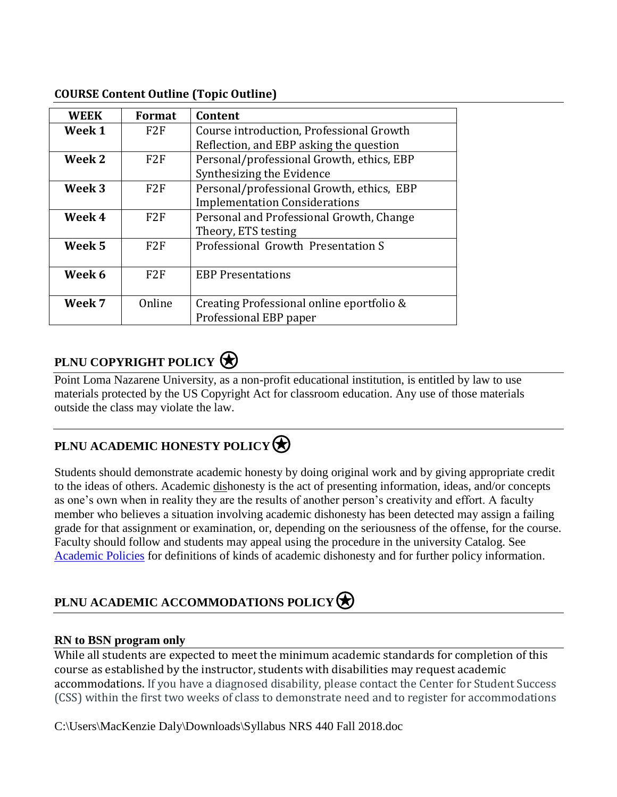| <b>WEEK</b> | Format          | Content                                   |  |
|-------------|-----------------|-------------------------------------------|--|
| Week 1      | F <sub>2F</sub> | Course introduction, Professional Growth  |  |
|             |                 | Reflection, and EBP asking the question   |  |
| Week 2      | F2F             | Personal/professional Growth, ethics, EBP |  |
|             |                 | Synthesizing the Evidence                 |  |
| Week 3      | F2F             | Personal/professional Growth, ethics, EBP |  |
|             |                 | <b>Implementation Considerations</b>      |  |
| Week 4      | F2F             | Personal and Professional Growth, Change  |  |
|             |                 | Theory, ETS testing                       |  |
| Week 5      | F2F             | Professional Growth Presentation S        |  |
|             |                 |                                           |  |
| Week 6      | F2F             | <b>EBP Presentations</b>                  |  |
|             |                 |                                           |  |
| Week 7      | Online          | Creating Professional online eportfolio & |  |
|             |                 | Professional EBP paper                    |  |

### **COURSE Content Outline (Topic Outline)**

# **PLNU COPYRIGHT POLICY**

Point Loma Nazarene University, as a non-profit educational institution, is entitled by law to use materials protected by the US Copyright Act for classroom education. Any use of those materials outside the class may violate the law.

# **PLNU ACADEMIC HONESTY POLICY**

Students should demonstrate academic honesty by doing original work and by giving appropriate credit to the ideas of others. Academic dishonesty is the act of presenting information, ideas, and/or concepts as one's own when in reality they are the results of another person's creativity and effort. A faculty member who believes a situation involving academic dishonesty has been detected may assign a failing grade for that assignment or examination, or, depending on the seriousness of the offense, for the course. Faculty should follow and students may appeal using the procedure in the university Catalog. See [Academic Policies](http://catalog.pointloma.edu/content.php?catoid=18&navoid=1278) for definitions of kinds of academic dishonesty and for further policy information.

# **PLNU ACADEMIC ACCOMMODATIONS POLICY**

### **RN to BSN program only**

While all students are expected to meet the minimum academic standards for completion of this course as established by the instructor, students with disabilities may request academic accommodations. If you have a diagnosed disability, please contact the Center for Student Success (CSS) within the first two weeks of class to demonstrate need and to register for accommodations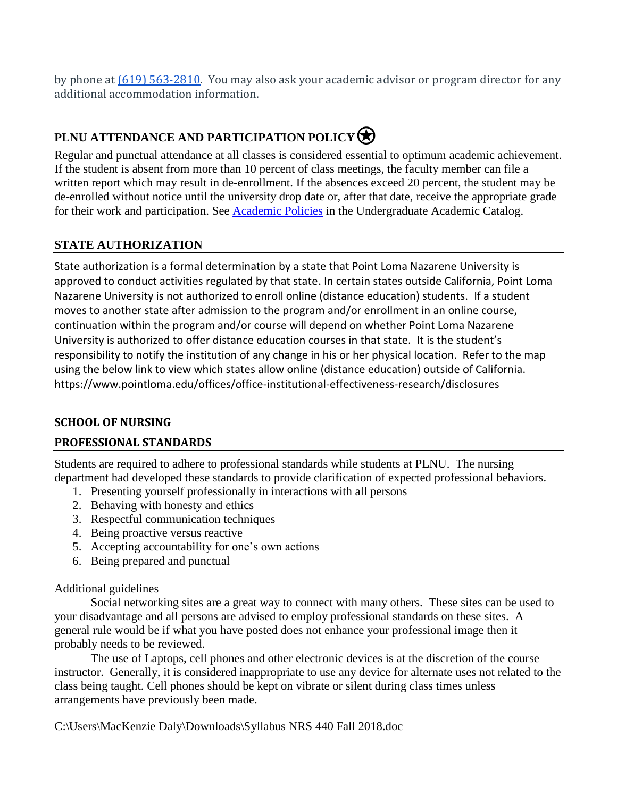by phone at  $(619)$  563-2810. You may also ask your academic advisor or program director for any additional accommodation information.

# **PLNU ATTENDANCE AND PARTICIPATION POLICY**

Regular and punctual attendance at all classes is considered essential to optimum academic achievement. If the student is absent from more than 10 percent of class meetings, the faculty member can file a written report which may result in de-enrollment. If the absences exceed 20 percent, the student may be de-enrolled without notice until the university drop date or, after that date, receive the appropriate grade for their work and participation. See [Academic Policies](http://catalog.pointloma.edu/content.php?catoid=18&navoid=1278) in the Undergraduate Academic Catalog.

### **STATE AUTHORIZATION**

State authorization is a formal determination by a state that Point Loma Nazarene University is approved to conduct activities regulated by that state. In certain states outside California, Point Loma Nazarene University is not authorized to enroll online (distance education) students. If a student moves to another state after admission to the program and/or enrollment in an online course, continuation within the program and/or course will depend on whether Point Loma Nazarene University is authorized to offer distance education courses in that state. It is the student's responsibility to notify the institution of any change in his or her physical location. Refer to the map using the below link to view which states allow online (distance education) outside of California. <https://www.pointloma.edu/offices/office-institutional-effectiveness-research/disclosures>

### **SCHOOL OF NURSING**

### **PROFESSIONAL STANDARDS**

Students are required to adhere to professional standards while students at PLNU. The nursing department had developed these standards to provide clarification of expected professional behaviors.

- 1. Presenting yourself professionally in interactions with all persons
- 2. Behaving with honesty and ethics
- 3. Respectful communication techniques
- 4. Being proactive versus reactive
- 5. Accepting accountability for one's own actions
- 6. Being prepared and punctual

### Additional guidelines

Social networking sites are a great way to connect with many others. These sites can be used to your disadvantage and all persons are advised to employ professional standards on these sites. A general rule would be if what you have posted does not enhance your professional image then it probably needs to be reviewed.

The use of Laptops, cell phones and other electronic devices is at the discretion of the course instructor. Generally, it is considered inappropriate to use any device for alternate uses not related to the class being taught. Cell phones should be kept on vibrate or silent during class times unless arrangements have previously been made.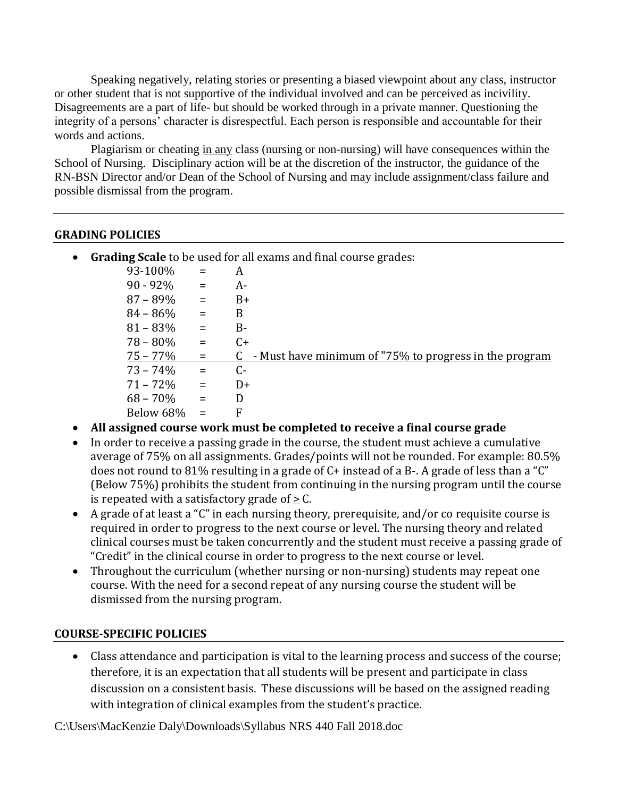Speaking negatively, relating stories or presenting a biased viewpoint about any class, instructor or other student that is not supportive of the individual involved and can be perceived as incivility. Disagreements are a part of life- but should be worked through in a private manner. Questioning the integrity of a persons' character is disrespectful. Each person is responsible and accountable for their words and actions.

Plagiarism or cheating in any class (nursing or non-nursing) will have consequences within the School of Nursing. Disciplinary action will be at the discretion of the instructor, the guidance of the RN-BSN Director and/or Dean of the School of Nursing and may include assignment/class failure and possible dismissal from the program.

#### **GRADING POLICIES**

• **Grading Scale** to be used for all exams and final course grades:

| 93-100%     | $=$                       | A                                                            |
|-------------|---------------------------|--------------------------------------------------------------|
| $90 - 92%$  | $\mathbf{r} = \mathbf{r}$ | A-                                                           |
| $87 - 89\%$ | $=$                       | $B+$                                                         |
| $84 - 86\%$ | $=$                       | B                                                            |
| $81 - 83\%$ | $=$                       | $B -$                                                        |
| $78 - 80\%$ | $=$                       | $C+$                                                         |
| $75 - 77\%$ | $=$                       | - Must have minimum of "75% to progress in the program<br>C. |
| $73 - 74\%$ | $\alpha_{\rm c} = 0.05$   | C-                                                           |
| $71 - 72\%$ | $\equiv$                  | D+                                                           |
| $68 - 70\%$ | $=$                       | D                                                            |
| Below 68%   | $=$                       | F                                                            |

- **All assigned course work must be completed to receive a final course grade**
- In order to receive a passing grade in the course, the student must achieve a cumulative average of 75% on all assignments. Grades/points will not be rounded. For example: 80.5% does not round to 81% resulting in a grade of C+ instead of a B-. A grade of less than a "C" (Below 75%) prohibits the student from continuing in the nursing program until the course is repeated with a satisfactory grade of  $> C$ .
- A grade of at least a "C" in each nursing theory, prerequisite, and/or co requisite course is required in order to progress to the next course or level. The nursing theory and related clinical courses must be taken concurrently and the student must receive a passing grade of "Credit" in the clinical course in order to progress to the next course or level.
- Throughout the curriculum (whether nursing or non-nursing) students may repeat one course. With the need for a second repeat of any nursing course the student will be dismissed from the nursing program.

### **COURSE-SPECIFIC POLICIES**

• Class attendance and participation is vital to the learning process and success of the course; therefore, it is an expectation that all students will be present and participate in class discussion on a consistent basis. These discussions will be based on the assigned reading with integration of clinical examples from the student's practice.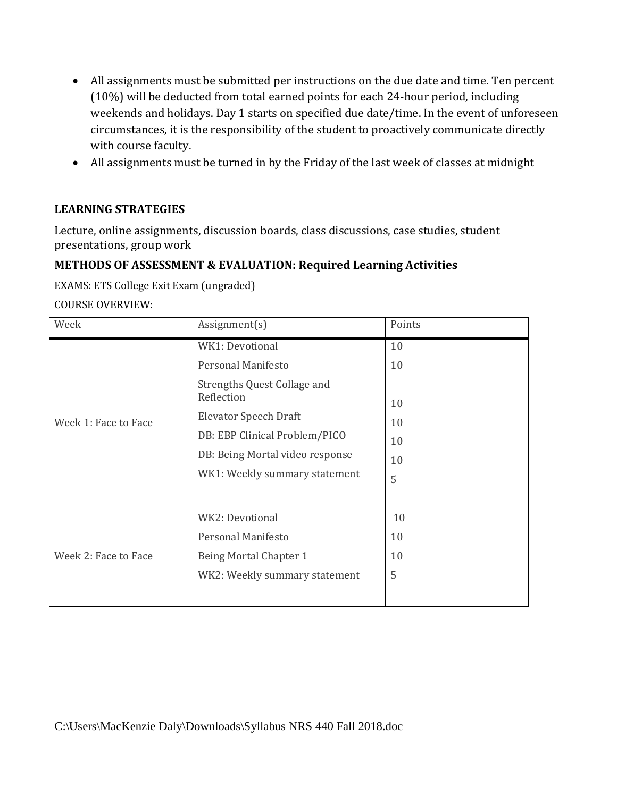- All assignments must be submitted per instructions on the due date and time. Ten percent (10%) will be deducted from total earned points for each 24-hour period, including weekends and holidays. Day 1 starts on specified due date/time. In the event of unforeseen circumstances, it is the responsibility of the student to proactively communicate directly with course faculty.
- All assignments must be turned in by the Friday of the last week of classes at midnight

### **LEARNING STRATEGIES**

Lecture, online assignments, discussion boards, class discussions, case studies, student presentations, group work

### **METHODS OF ASSESSMENT & EVALUATION: Required Learning Activities**

EXAMS: ETS College Exit Exam (ungraded)

#### COURSE OVERVIEW:

| Week                 | Assignment(s)                                                                                                                                                                                                    | Points                                |
|----------------------|------------------------------------------------------------------------------------------------------------------------------------------------------------------------------------------------------------------|---------------------------------------|
| Week 1: Face to Face | WK1: Devotional<br>Personal Manifesto<br>Strengths Quest Collage and<br>Reflection<br>Elevator Speech Draft<br>DB: EBP Clinical Problem/PICO<br>DB: Being Mortal video response<br>WK1: Weekly summary statement | 10<br>10<br>10<br>10<br>10<br>10<br>5 |
| Week 2: Face to Face | WK2: Devotional<br>Personal Manifesto<br>Being Mortal Chapter 1<br>WK2: Weekly summary statement                                                                                                                 | 10<br>10<br>10<br>5                   |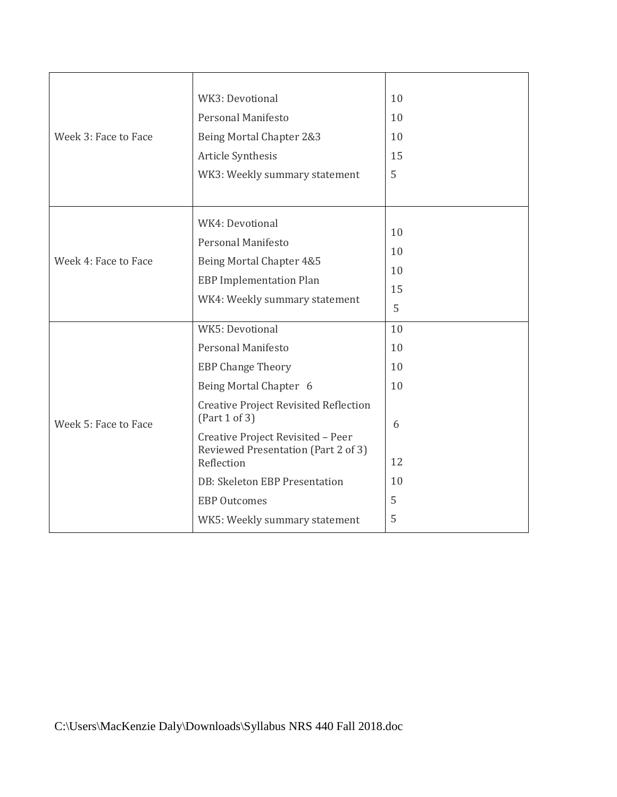| Week 3: Face to Face | WK3: Devotional<br><b>Personal Manifesto</b><br>Being Mortal Chapter 2&3<br>Article Synthesis<br>WK3: Weekly summary statement                                                                                                                                                                                                                  | 10<br>10<br>10<br>15<br>5                       |
|----------------------|-------------------------------------------------------------------------------------------------------------------------------------------------------------------------------------------------------------------------------------------------------------------------------------------------------------------------------------------------|-------------------------------------------------|
| Week 4: Face to Face | WK4: Devotional<br><b>Personal Manifesto</b><br>Being Mortal Chapter 4&5<br><b>EBP</b> Implementation Plan<br>WK4: Weekly summary statement                                                                                                                                                                                                     | 10<br>10<br>10<br>15<br>5                       |
| Week 5: Face to Face | WK5: Devotional<br>Personal Manifesto<br><b>EBP Change Theory</b><br>Being Mortal Chapter 6<br><b>Creative Project Revisited Reflection</b><br>(Part 1 of 3)<br>Creative Project Revisited - Peer<br>Reviewed Presentation (Part 2 of 3)<br>Reflection<br>DB: Skeleton EBP Presentation<br><b>EBP Outcomes</b><br>WK5: Weekly summary statement | 10<br>10<br>10<br>10<br>6<br>12<br>10<br>5<br>5 |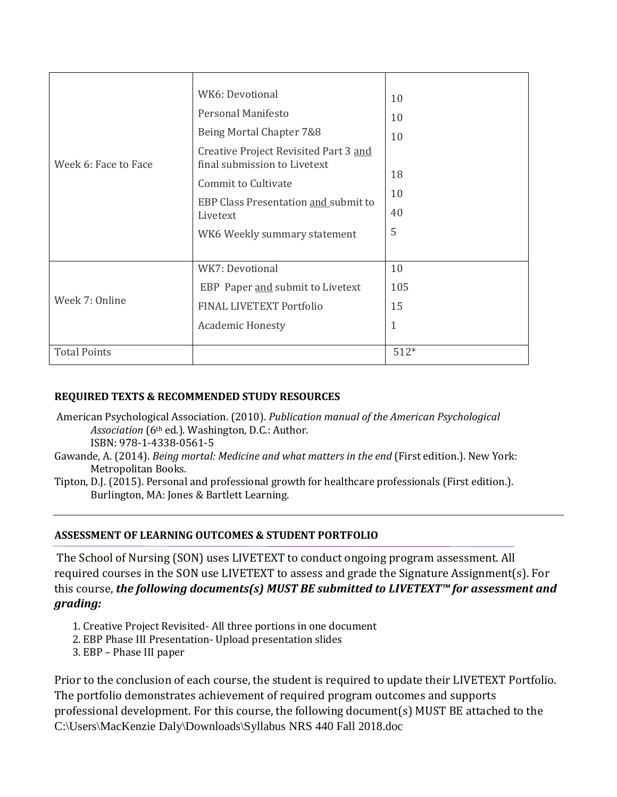| Week 6: Face to Face | WK6: Devotional<br>Personal Manifesto<br>Being Mortal Chapter 7&8<br>Creative Project Revisited Part 3 and<br>final submission to Livetext<br>Commit to Cultivate<br>EBP Class Presentation and submit to<br>Livetext<br>WK6 Weekly summary statement | 10<br>10<br>10<br>18<br>10<br>40<br>5 |
|----------------------|-------------------------------------------------------------------------------------------------------------------------------------------------------------------------------------------------------------------------------------------------------|---------------------------------------|
| Week 7: Online       | WK7: Devotional<br>EBP Paper and submit to Livetext<br>FINAL LIVETEXT Portfolio<br><b>Academic Honesty</b>                                                                                                                                            | 10<br>105<br>15<br>1                  |
| <b>Total Points</b>  |                                                                                                                                                                                                                                                       | $512*$                                |

#### **REQUIRED TEXTS & RECOMMENDED STUDY RESOURCES**

- American Psychological Association. (2010). *Publication manual of the American Psychological Association* (6th ed.). Washington, D.C.: Author. ISBN: 978-1-4338-0561-5
- Gawande, A. (2014). *Being mortal: Medicine and what matters in the end* (First edition.). New York: Metropolitan Books.
- Tipton, D.J. (2015). Personal and professional growth for healthcare professionals (First edition.). Burlington, MA: Jones & Bartlett Learning.

#### **ASSESSMENT OF LEARNING OUTCOMES & STUDENT PORTFOLIO**

The School of Nursing (SON) uses LIVETEXT to conduct ongoing program assessment. All required courses in the SON use LIVETEXT to assess and grade the Signature Assignment(s). For this course, *the following documents(s) MUST BE submitted to LIVETEXT™ for assessment and grading:* 

- 1. Creative Project Revisited- All three portions in one document
- 2. EBP Phase III Presentation- Upload presentation slides
- 3. EBP Phase III paper

C:\Users\MacKenzie Daly\Downloads\Syllabus NRS 440 Fall 2018.doc Prior to the conclusion of each course, the student is required to update their LIVETEXT Portfolio. The portfolio demonstrates achievement of required program outcomes and supports professional development. For this course, the following document(s) MUST BE attached to the